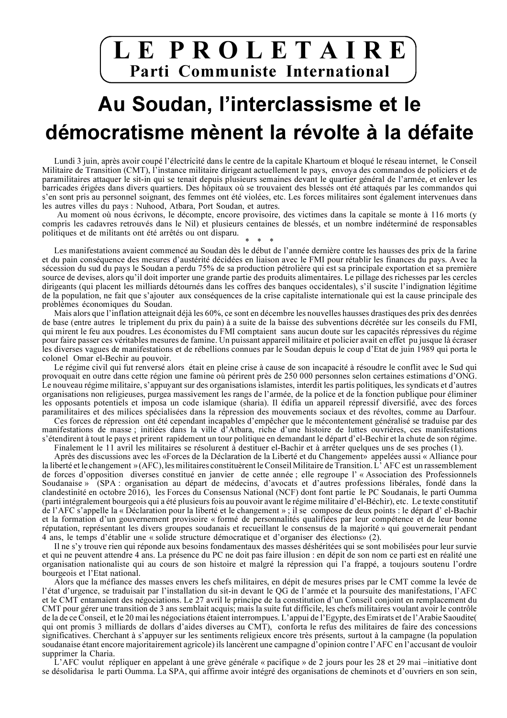## LEPROLETAIRE Parti Communiste International

# Au Soudan, l'interclassisme et le démocratisme mènent la révolte à la défaite

Lundi 3 juin, après avoir coupé l'électricité dans le centre de la capitale Khartoum et bloqué le réseau internet, le Conseil Militaire de Transition (CMT), l'instance militaire dirigeant actuellement le pays, envoya des commandos de policiers et de paramilitaires attaquer le sit-in qui se tenait depuis plusieurs semaines devant le quartier général de l'armée, et enlever les barricades érigées dans divers quartiers. Des hôpitaux où se trouvaient des blessés ont été attaqués par les commandos qui s'en sont pris au personnel soignant, des femmes ont été violées, etc. Les forces militaires sont également intervenues dans les autres villes du pays : Nuhood, Atbara, Port Soudan, et autres.

Au moment où nous écrivons, le décompte, encore provisoire, des victimes dans la capitale se monte à 116 morts (y compris les cadavres retrouvés dans le Nil) et plusieurs centaines de blessés, et un nombre indéterminé de responsables politiques et de militants ont été arrêtés ou ont disparu.

Les manifestations avaient commencé au Soudan dès le début de l'année dernière contre les hausses des prix de la farine et du pain conséquence des mesures d'austérité décidées en liaison avec le FMI pour rétablir les finances du pays. Avec la sécession du sud du pays le Soudan a perdu 75% de sa production pétrolière qui est sa principale exportation et sa première source de devises, alors qu'il doit importer une grande partie des produits alimentaires. Le pillage des richesses par les cercles dirigeants (qui placent les milliards détournés dans les coffres des banques occidentales), s'il suscite l'indignation légitime de la population, ne fait que s'ajouter aux conséquences de la crise capitaliste internationale qui est la cause principale des problèmes économiques du Soudan.

Mais alors que l'inflation atteignait déjà les 60%, ce sont en décembre les nouvelles hausses drastiques des prix des denrées de base (entre autres le triplement du prix du pain) à a suite de la baisse des subventions décrétée sur les conseils du FMI, qui mirent le feu aux poudres. Les économistes du FMI comptaient sans aucun doute sur les capacités répressives du régime pour faire passer ces véritables mesures de famine. Un puissant appareil militaire et policier avait en effet pu jusque là écraser les diverses vagues de manifestations et de rébellions connues par le Soudan depuis le coup d'Etat de juin 1989 qui porta le colonel Omar el-Bechir au pouvoir.

Le régime civil qui fut renversé alors était en pleine crise à cause de son incapacité à résoudre le conflit avec le Sud qui provoquait en outre dans cette région une famine où périrent près de 250 000 personnes selon certaines estimations d'ONG. Le nouveau régime militaire, s'appuyant sur des organisations islamistes, interdit les partis politiques, les syndicats et d'autres organisations non religieuses, purgea massivement les rangs de l'armée, de la police et de la fonction publique pour éliminer les opposants potentiels et imposa un code islamique (sharia). Il édifia un appareil répressif diversifié, avec des forces paramilitaires et des milices spécialisées dans la répression des mouvements sociaux et des révoltes, comme au Darfour.

Ces forces de répression ont été cependant incapables d'empêcher que le mécontentement généralisé se traduise par des manifestations de masse; initiées dans la ville d'Atbara, riche d'une histoire de luttes ouvrières, ces manifestations s'étendirent à tout le pays et prirent rapidement un tour politique en demandant le départ d'el-Bechir et la chute de son régime.

Finalement le 11 avril les militaires se résolurent à destituer el-Bachir et à arrêter quelques uns de ses proches (1). Après des discussions avec les «Forces de la Déclaration de la Liberté et du Changement» appelées aussi « Alliance pour la liberté et le changement » (AFC), les militaires constituèrent le Conseil Militaire de Transition. L'AFC est un rassemblement de forces d'opposition diverses constitué en janvier de cette année ; elle regroupe l'« Association des Professionnels Soudanaise » (SPA : organisation au départ de médecins, d'avocats et d'autres professions libérales, fondé dans la clandestinité en octobre 2016), les Forces du Consensus National (NCF) dont font partie le PC Soudanais, le parti Oumma (parti intégralement bourgeois qui a été plusieurs fois au pouvoir avant le régime militaire d'el-Béchir), etc. Le texte constitutif de l'AFC s'appelle la « Déclaration pour la liberté et le changement » ; il se compose de deux points : le départ d'el-Bachir et la formation d'un gouvernement provisoire « formé de personnalités qualifiées par leur compétence et de leur bonne réputation, représentant les divers groupes soudanais et recueillant le consensus de la majorité » qui gouvernerait pendant 4 ans, le temps d'établir une « solide structure démocratique et d'organiser des élections» (2).

Il ne s'y trouve rien qui réponde aux besoins fondamentaux des masses déshéritées qui se sont mobilisées pour leur survie et qui ne peuvent attendre 4 ans. La présence du PC ne doit pas faire illusion : en dépit de son nom ce parti est en réalité une organisation nationaliste qui au cours de son histoire et malgré la répression qui l'a frappé, a toujours soutenu l'ordre bourgeois et l'Etat national.

Alors que la méfiance des masses envers les chefs militaires, en dépit de mesures prises par le CMT comme la levée de l'état d'urgence, se traduisait par l'installation du sit-in devant le QG de l'armée et la poursuite des manifestations, l'AFC et le CMT entamaient des négociations. Le 27 avril le principe de la constitution d'un Conseil conjoint en remplacement du CMT pour gérer une transition de 3 ans semblait acquis; mais la suite fut difficile, les chefs militaires voulant avoir le contrôle de la de ce Conseil, et le 20 mai les négociations étaient interrompues. L'appui de l'Egypte, des Emirats et de l'Arabie Saoudite( qui ont promis 3 milliards de dollars d'aides diverses au CMT), conforta le refus des militaires de faire des concessions significatives. Cherchant à s'appuyer sur les sentiments religieux encore très présents, surtout à la campagne (la population soudanaise étant encore majoritairement agricole) ils lancèrent une campagne d'opinion contre l'AFC en l'accusant de vouloir supprimer la Charia.

L'AFC voulut répliquer en appelant à une grève générale « pacifique » de 2 jours pour les 28 et 29 mai –initiative dont se désolidarisa le parti Oumma. La SPA, qui affirme avoir intégré des organisations de cheminots et d'ouvriers en son sein,